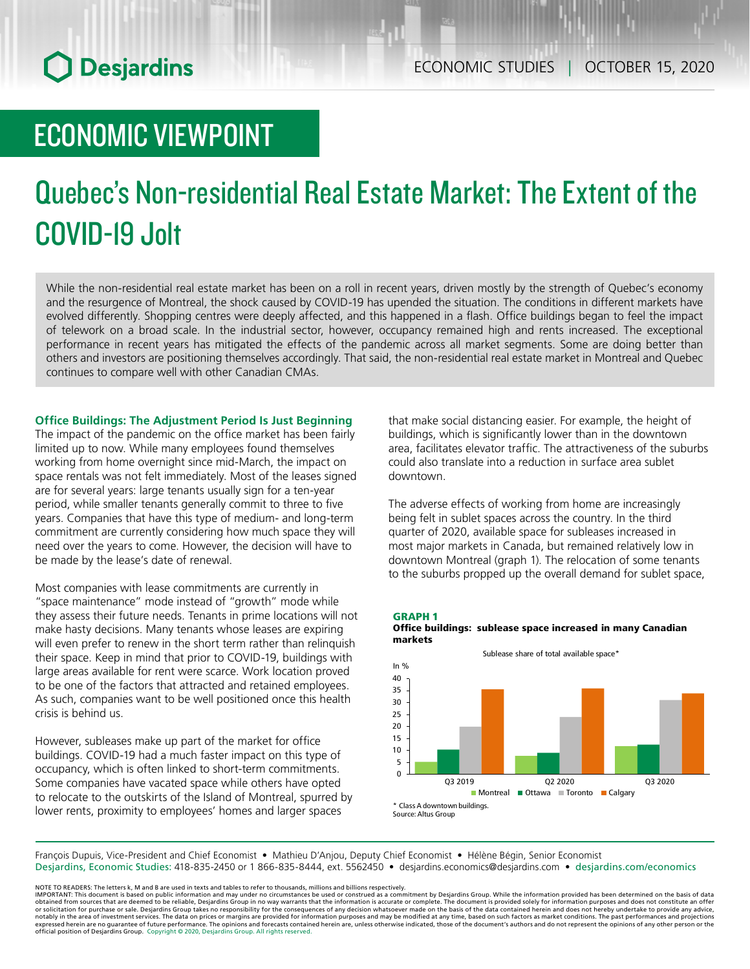## **O** Desjardins

### ECONOMIC VIEWPOINT

# Quebec's Non-residential Real Estate Market: The Extent of the COVID-19 Jolt

While the non-residential real estate market has been on a roll in recent years, driven mostly by the strength of Quebec's economy and the resurgence of Montreal, the shock caused by COVID-19 has upended the situation. The conditions in different markets have evolved differently. Shopping centres were deeply affected, and this happened in a flash. Office buildings began to feel the impact of telework on a broad scale. In the industrial sector, however, occupancy remained high and rents increased. The exceptional performance in recent years has mitigated the effects of the pandemic across all market segments. Some are doing better than others and investors are positioning themselves accordingly. That said, the non-residential real estate market in Montreal and Quebec continues to compare well with other Canadian CMAs.

#### **Office Buildings: The Adjustment Period Is Just Beginning**

The impact of the pandemic on the office market has been fairly limited up to now. While many employees found themselves working from home overnight since mid-March, the impact on space rentals was not felt immediately. Most of the leases signed are for several years: large tenants usually sign for a ten-year period, while smaller tenants generally commit to three to five years. Companies that have this type of medium- and long-term commitment are currently considering how much space they will need over the years to come. However, the decision will have to be made by the lease's date of renewal.

Most companies with lease commitments are currently in "space maintenance" mode instead of "growth" mode while they assess their future needs. Tenants in prime locations will not make hasty decisions. Many tenants whose leases are expiring will even prefer to renew in the short term rather than relinquish their space. Keep in mind that prior to COVID-19, buildings with large areas available for rent were scarce. Work location proved to be one of the factors that attracted and retained employees. As such, companies want to be well positioned once this health crisis is behind us.

However, subleases make up part of the market for office buildings. COVID-19 had a much faster impact on this type of occupancy, which is often linked to short-term commitments. Some companies have vacated space while others have opted to relocate to the outskirts of the Island of Montreal, spurred by lower rents, proximity to employees' homes and larger spaces

that make social distancing easier. For example, the height of buildings, which is significantly lower than in the downtown area, facilitates elevator traffic. The attractiveness of the suburbs could also translate into a reduction in surface area sublet downtown.

The adverse effects of working from home are increasingly being felt in sublet spaces across the country. In the third quarter of 2020, available space for subleases increased in most major markets in Canada, but remained relatively low in downtown Montreal (graph 1). The relocation of some tenants to the suburbs propped up the overall demand for sublet space,





François Dupuis, Vice-President and Chief Economist • Mathieu D'Anjou, Deputy Chief Economist • Hélène Bégin, Senior Economist Desjardins, Economic Studies: 418-835-2450 or 1 866-835-8444, ext. 5562450 • desjardins.economics@desjardins.com • desjardins.com/economics

NOTE TO READERS: The letters k, M and B are used in texts and tables to refer to thousands, millions and billions respectively.<br>IMPORTANT: This document is based on public information and may under no circumstances be used obtained from sources that are deemed to be reliable, Desjardins Group in no way warrants that the information is accurate or complete. The document is provided solely for information purposes and does not constitute an of official position of Desjardins Group. Copyright © 2020, Desjardins Group. All rights reserved.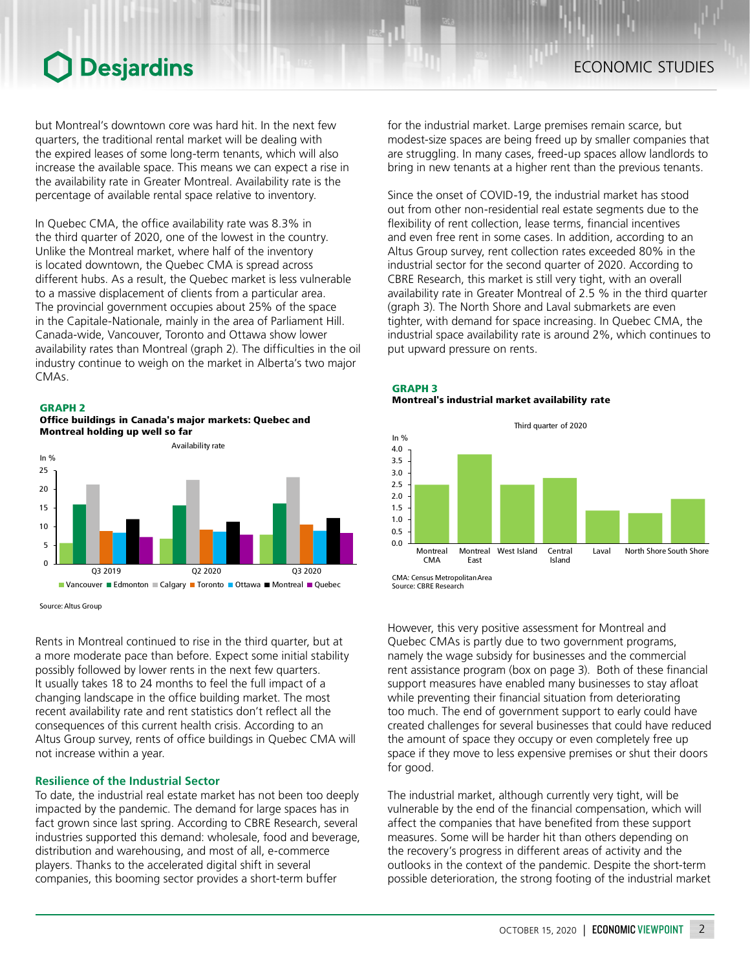### Desjardins

but Montreal's downtown core was hard hit. In the next few quarters, the traditional rental market will be dealing with the expired leases of some long-term tenants, which will also increase the available space. This means we can expect a rise in the availability rate in Greater Montreal. Availability rate is the percentage of available rental space relative to inventory.

In Quebec CMA, the office availability rate was 8.3% in the third quarter of 2020, one of the lowest in the country. Unlike the Montreal market, where half of the inventory is located downtown, the Quebec CMA is spread across different hubs. As a result, the Quebec market is less vulnerable to a massive displacement of clients from a particular area. The provincial government occupies about 25% of the space in the Capitale-Nationale, mainly in the area of Parliament Hill. Canada-wide, Vancouver, Toronto and Ottawa show lower availability rates than Montreal (graph 2). The difficulties in the oil industry continue to weigh on the market in Alberta's two major CMAs.

GRAPH 2





Source: Altus Group

Rents in Montreal continued to rise in the third quarter, but at a more moderate pace than before. Expect some initial stability possibly followed by lower rents in the next few quarters. It usually takes 18 to 24 months to feel the full impact of a changing landscape in the office building market. The most recent availability rate and rent statistics don't reflect all the consequences of this current health crisis. According to an Altus Group survey, rents of office buildings in Quebec CMA will not increase within a year.

#### **Resilience of the Industrial Sector**

To date, the industrial real estate market has not been too deeply impacted by the pandemic. The demand for large spaces has in fact grown since last spring. According to CBRE Research, several industries supported this demand: wholesale, food and beverage, distribution and warehousing, and most of all, e-commerce players. Thanks to the accelerated digital shift in several companies, this booming sector provides a short-term buffer

for the industrial market. Large premises remain scarce, but modest-size spaces are being freed up by smaller companies that are struggling. In many cases, freed-up spaces allow landlords to bring in new tenants at a higher rent than the previous tenants.

Since the onset of COVID-19, the industrial market has stood out from other non-residential real estate segments due to the flexibility of rent collection, lease terms, financial incentives and even free rent in some cases. In addition, according to an Altus Group survey, rent collection rates exceeded 80% in the industrial sector for the second quarter of 2020. According to CBRE Research, this market is still very tight, with an overall availability rate in Greater Montreal of 2.5 % in the third quarter (graph 3). The North Shore and Laval submarkets are even tighter, with demand for space increasing. In Quebec CMA, the industrial space availability rate is around 2%, which continues to put upward pressure on rents.





Source: CBRE Research

However, this very positive assessment for Montreal and Quebec CMAs is partly due to two government programs, namely the wage subsidy for businesses and the commercial rent assistance program (box on page 3). Both of these financial support measures have enabled many businesses to stay afloat while preventing their financial situation from deteriorating too much. The end of government support to early could have created challenges for several businesses that could have reduced the amount of space they occupy or even completely free up space if they move to less expensive premises or shut their doors for good.

The industrial market, although currently very tight, will be vulnerable by the end of the financial compensation, which will affect the companies that have benefited from these support measures. Some will be harder hit than others depending on the recovery's progress in different areas of activity and the outlooks in the context of the pandemic. Despite the short-term possible deterioration, the strong footing of the industrial market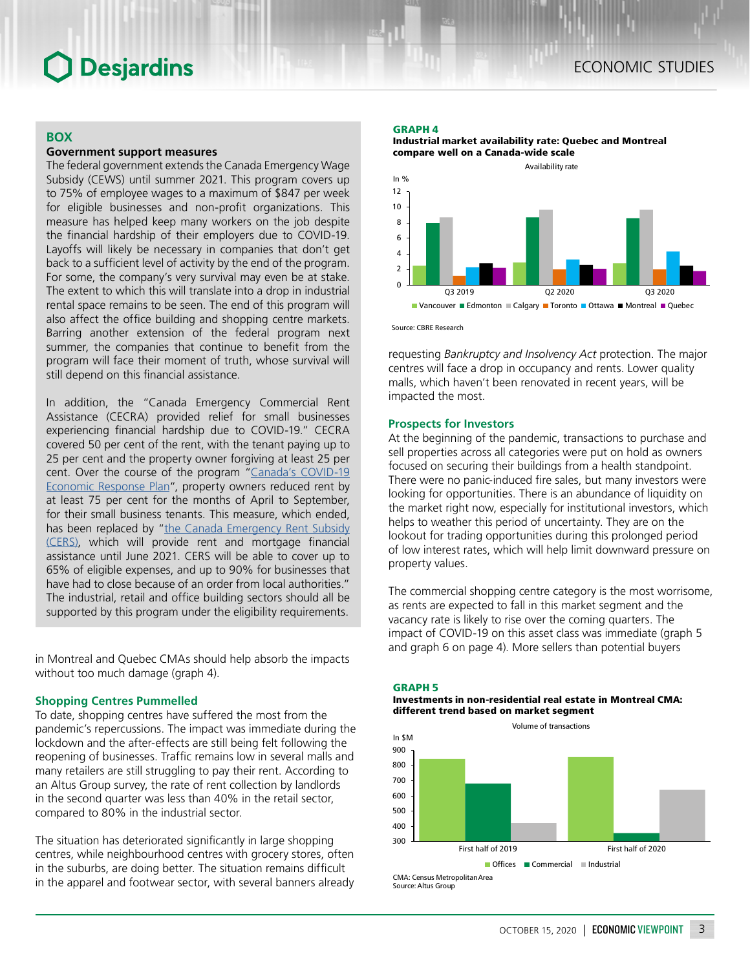### **Desjardins**

#### **BOX**

#### **Government support measures**

The federal government extends the Canada Emergency Wage Subsidy (CEWS) until summer 2021. This program covers up to 75% of employee wages to a maximum of \$847 per week for eligible businesses and non-profit organizations. This measure has helped keep many workers on the job despite the financial hardship of their employers due to COVID-19. Layoffs will likely be necessary in companies that don't get back to a sufficient level of activity by the end of the program. For some, the company's very survival may even be at stake. The extent to which this will translate into a drop in industrial rental space remains to be seen. The end of this program will also affect the office building and shopping centre markets. Barring another extension of the federal program next summer, the companies that continue to benefit from the program will face their moment of truth, whose survival will still depend on this financial assistance.

In addition, the "Canada Emergency Commercial Rent Assistance (CECRA) provided relief for small businesses experiencing financial hardship due to COVID-19." CECRA covered 50 per cent of the rent, with the tenant paying up to 25 per cent and the property owner forgiving at least 25 per cent. Over the course of the program ["Canada's COVID-19](https://www.canada.ca/en/department-finance/economic-response-plan.html)  [Economic Response Plan](https://www.canada.ca/en/department-finance/economic-response-plan.html)", property owners reduced rent by at least 75 per cent for the months of April to September, for their small business tenants. This measure, which ended, has been replaced by "the Canada Emergency Rent Subsidy [\(CERS\)](https://www.canada.ca/en/department-finance/news/2020/10/government-announces-new-targeted-support-to-help-businesses-through-pandemic.html), which will provide rent and mortgage financial assistance until June 2021. CERS will be able to cover up to 65% of eligible expenses, and up to 90% for businesses that have had to close because of an order from local authorities." The industrial, retail and office building sectors should all be supported by this program under the eligibility requirements.

in Montreal and Quebec CMAs should help absorb the impacts without too much damage (graph 4).

#### **Shopping Centres Pummelled**

To date, shopping centres have suffered the most from the pandemic's repercussions. The impact was immediate during the lockdown and the after-effects are still being felt following the reopening of businesses. Traffic remains low in several malls and many retailers are still struggling to pay their rent. According to an Altus Group survey, the rate of rent collection by landlords in the second quarter was less than 40% in the retail sector, compared to 80% in the industrial sector.

The situation has deteriorated significantly in large shopping centres, while neighbourhood centres with grocery stores, often in the suburbs, are doing better. The situation remains difficult in the apparel and footwear sector, with several banners already

#### GRAPH 4





Source: CBRE Research

requesting *Bankruptcy and Insolvency Act* protection. The major centres will face a drop in occupancy and rents. Lower quality malls, which haven't been renovated in recent years, will be impacted the most.

#### **Prospects for Investors**

At the beginning of the pandemic, transactions to purchase and sell properties across all categories were put on hold as owners focused on securing their buildings from a health standpoint. There were no panic-induced fire sales, but many investors were looking for opportunities. There is an abundance of liquidity on the market right now, especially for institutional investors, which helps to weather this period of uncertainty. They are on the lookout for trading opportunities during this prolonged period of low interest rates, which will help limit downward pressure on property values.

The commercial shopping centre category is the most worrisome, as rents are expected to fall in this market segment and the vacancy rate is likely to rise over the coming quarters. The impact of COVID-19 on this asset class was immediate (graph 5 and graph 6 on page 4). More sellers than potential buyers



Investments in non-residential real estate in Montreal CMA: different trend based on market segment